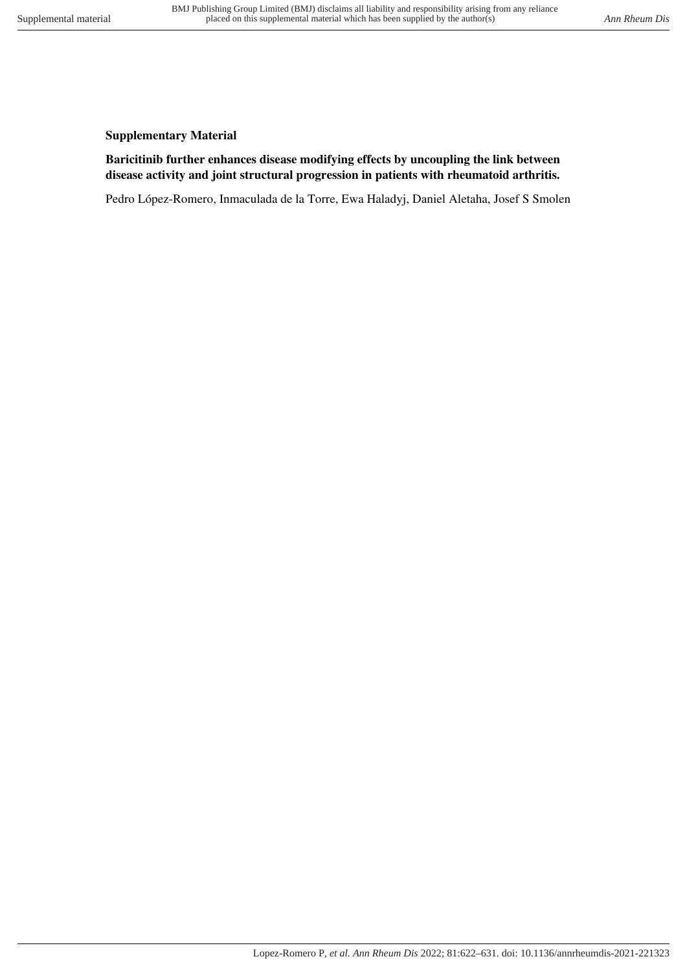## **Supplementary Material**

## **Baricitinib further enhances disease modifying effects by uncoupling the link between disease activity and joint structural progression in patients with rheumatoid arthritis.**

Pedro López-Romero, Inmaculada de la Torre, Ewa Haladyj, Daniel Aletaha, Josef S Smolen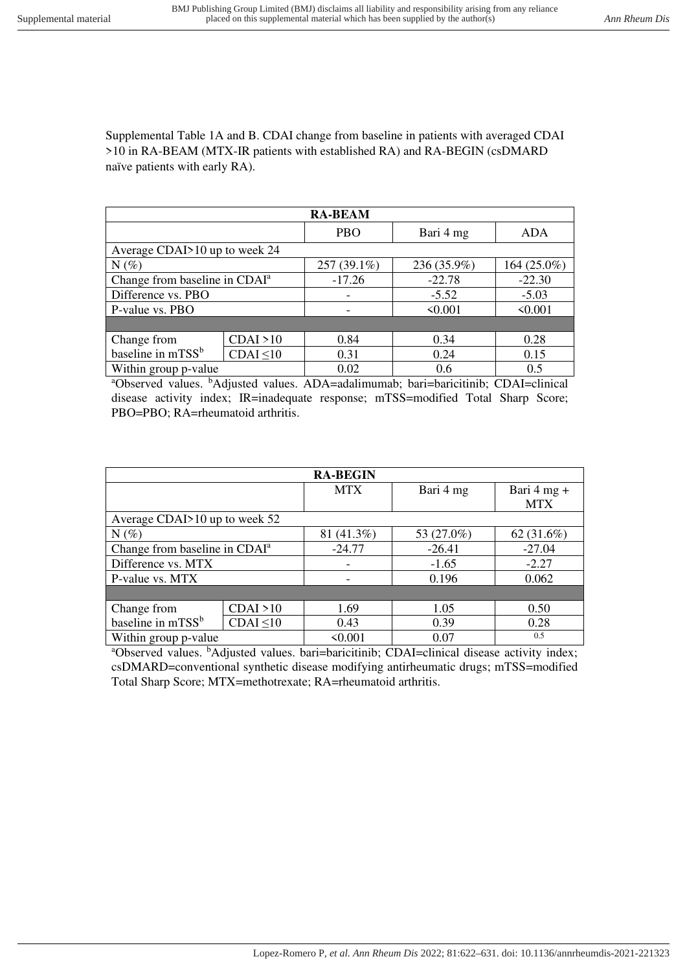Supplemental Table 1A and B. CDAI change from baseline in patients with averaged CDAI >10 in RA-BEAM (MTX-IR patients with established RA) and RA-BEGIN (csDMARD naïve patients with early RA).

| <b>RA-BEAM</b>                            |                |             |             |              |
|-------------------------------------------|----------------|-------------|-------------|--------------|
|                                           |                | <b>PBO</b>  | Bari 4 mg   | <b>ADA</b>   |
| Average CDAI>10 up to week 24             |                |             |             |              |
| $N(\%)$                                   |                | 257 (39.1%) | 236 (35.9%) | 164 (25.0%)  |
| Change from baseline in CDAI <sup>a</sup> |                | $-17.26$    | $-22.78$    | $-22.30$     |
| Difference vs. PBO                        |                |             | $-5.52$     | $-5.03$      |
| P-value vs. PBO                           |                |             | < 0.001     | $\leq 0.001$ |
|                                           |                |             |             |              |
| Change from                               | CDAI > 10      | 0.84        | 0.34        | 0.28         |
| baseline in mTSS <sup>b</sup>             | $CDAI \leq 10$ | 0.31        | 0.24        | 0.15         |
| Within group p-value                      |                | 0.02        | 0.6         | 0.5          |

<sup>a</sup>Observed values. <sup>b</sup>Adjusted values. ADA=adalimumab; bari=baricitinib; CDAI=clinical disease activity index; IR=inadequate response; mTSS=modified Total Sharp Score; PBO=PBO; RA=rheumatoid arthritis.

|                                           |                | <b>RA-BEGIN</b> |            |               |
|-------------------------------------------|----------------|-----------------|------------|---------------|
|                                           |                | <b>MTX</b>      | Bari 4 mg  | Bari $4$ mg + |
|                                           |                |                 |            | <b>MTX</b>    |
| Average CDAI>10 up to week 52             |                |                 |            |               |
| $N(\%)$                                   |                | 81 (41.3%)      | 53 (27.0%) | 62 $(31.6\%)$ |
| Change from baseline in CDAI <sup>a</sup> |                | $-24.77$        | $-26.41$   | $-27.04$      |
| Difference vs. MTX                        |                |                 | $-1.65$    | $-2.27$       |
| P-value vs. MTX                           |                |                 | 0.196      | 0.062         |
|                                           |                |                 |            |               |
| Change from                               | CDAI > 10      | 1.69            | 1.05       | 0.50          |
| baseline in mTSS <sup>b</sup>             | $CDAI \leq 10$ | 0.43            | 0.39       | 0.28          |
| Within group p-value                      |                | < 0.001         | 0.07       | 0.5           |

<sup>a</sup>Observed values. <sup>b</sup>Adjusted values. bari=baricitinib; CDAI=clinical disease activity index; csDMARD=conventional synthetic disease modifying antirheumatic drugs; mTSS=modified Total Sharp Score; MTX=methotrexate; RA=rheumatoid arthritis.